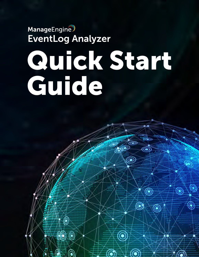# **ManageEngine** EventLog Analyzer

6

6

# Quick Start Guide

 $^{\prime\prime}$ 

 $\circledbullet$ 

 $\circledcirc$ 

 $\textcircled{\scriptsize\char'42}$ 

 $\widehat{\mathbb{C}}$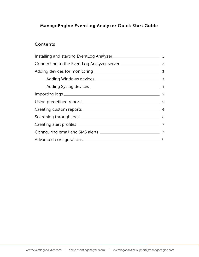# ManageEngine EventLog Analyzer Quick Start Guide

### **Contents**

| Installing and starting EventLog Analyzer |   |
|-------------------------------------------|---|
|                                           |   |
|                                           |   |
|                                           |   |
|                                           |   |
|                                           |   |
|                                           |   |
|                                           |   |
|                                           |   |
|                                           |   |
|                                           |   |
|                                           | 8 |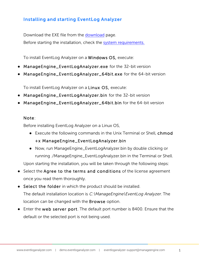# <span id="page-2-0"></span>Installing and starting EventLog Analyzer

Download the EXE file from the [download](https://www.manageengine.com/products/eventlog/download.html) page. Before starting the installation, check the [system requirements.](https://www.manageengine.com/products/eventlog/system_requirement.html)

To install EventLog Analyzer on a Windows OS, execute:

- ManageEngine\_EventLogAnalyzer.exe for the 32-bit version
- ManageEngine\_EventLogAnalyzer\_64bit.exe for the 64-bit version

To install EventLog Analyzer on a Linux OS, execute:

- ManageEngine\_EventLogAnalyzer.bin for the 32-bit version
- ManageEngine\_EventLogAnalyzer\_64bit.bin for the 64-bit version

#### Note:

Before installing EventLog Analyzer on a Linux OS,

- Execute the following commands in the Unix Terminal or Shell, chmod +x ManageEngine\_EventLogAnalyzer.bin
- Now, run ManageEngine\_EventLogAnalyzer.bin by double clicking or running ./ManageEngine\_EventLogAnalyzer.bin in the Terminal or Shell. Upon starting the installation, you will be taken through the following steps:
- Select the Agree to the terms and conditions of the license agreement once you read them thoroughly.
- Select the folder in which the product should be installed. The default installation location is C:\ManageEngine\EventLog Analyzer. The location can be changed with the Browse option.
- Enter the web server port. The default port number is 8400. Ensure that the default or the selected port is not being used.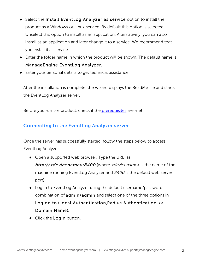- <span id="page-3-0"></span>Select the Install EventLog Analyzer as service option to install the product as a Windows or Linux service. By default this option is selected. Unselect this option to install as an application. Alternatively, you can also install as an application and later change it to a service. We recommend that you install it as service.
- Enter the folder name in which the product will be shown. The default name is ManageEngine EventLog Analyzer.
- Enter your personal details to get technical assistance.

After the installation is complete, the wizard displays the ReadMe file and starts the EventLog Analyzer server.

Before you run the product, check if the [prerequisites](http://help.eventloganalyzer.com/eventlog-prerequisites) are met.

# Connecting to the EventLog Analyzer server

Once the server has successfully started, follow the steps below to access EventLog Analyzer.

- Open a supported web browser. Type the URL as http://<devicename>:8400 (where <devicename> is the name of the machine running EventLog Analyzer and 8400 is the default web server port)
- Log in to EventLog Analyzer using the default username/password combination of admin/admin and select one of the three options in Log on to (Local Authentication,Radius Authentication, or Domain Name).
- Click the Login button.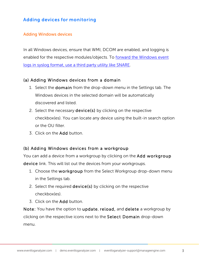# <span id="page-4-0"></span>Adding devices for monitoring

#### Adding Windows devices

In all Windows devices, ensure that WMI, DCOM are enabled, and logging is enabled for the respective modules/objects. To [forward the Windows event](https://www.youtube.com/watch?time_continue=5&v=an3PmAavILg)  [logs in syslog format, use a third party utility like SNARE.](https://www.youtube.com/watch?time_continue=5&v=an3PmAavILg) 

#### (a) Adding Windows devices from a domain

- 1. Select the domain from the drop-down menu in the Settings tab. The Windows devices in the selected domain will be automatically discovered and listed.
- 2. Select the necessary **device(s)** by clicking on the respective checkbox(es). You can locate any device using the built-in search option or the OU filter.
- 3. Click on the Add button.

#### (b) Adding Windows devices from a workgroup

You can add a device from a workgroup by clicking on the Add workgroup device link. This will list out the devices from your workgroups.

- 1. Choose the workgroup from the Select Workgroup drop-down menu in the Settings tab.
- 2. Select the required device(s) by clicking on the respective checkbox(es).
- 3. Click on the Add button.

Note: You have the option to update, reload, and delete a workgroup by clicking on the respective icons next to the Select Domain drop-down menu.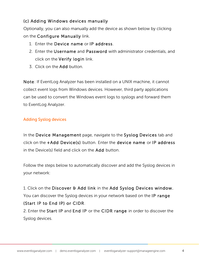# <span id="page-5-0"></span>(c) Adding Windows devices manually

Optionally, you can also manually add the device as shown below by clicking on the Configure Manually link.

- 1. Enter the Device name or IP address.
- 2. Enter the Username and Password with administrator credentials, and click on the Verify login link.
- 3. Click on the Add button.

Note: If EventLog Analyzer has been installed on a UNIX machine, it cannot collect event logs from Windows devices. However, third party applications can be used to convert the Windows event logs to syslogs and forward them to EventLog Analyzer.

#### Adding Syslog devices

In the Device Management page, navigate to the Syslog Devices tab and click on the +Add Device(s) button. Enter the device name or IP address in the Device(s) field and click on the Add button.

Follow the steps below to automatically discover and add the Syslog devices in your network:

1. Click on the Discover & Add link in the Add Syslog Devices window. You can discover the Syslog devices in your network based on the IP range (Start IP to End IP) or CIDR.

2. Enter the Start IP and End IP or the CIDR range in order to discover the Syslog devices.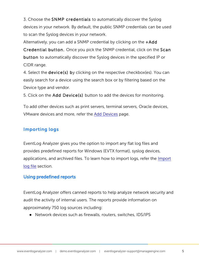<span id="page-6-0"></span>3. Choose the SNMP credentials to automatically discover the Syslog devices in your network. By default, the public SNMP credentials can be used to scan the Syslog devices in your network.

Alternatively, you can add a SNMP credential by clicking on the +Add Credential button. Once you pick the SNMP credential, click on the Scan button to automatically discover the Syslog devices in the specified IP or CIDR range.

4. Select the device(s) by clicking on the respective checkbox(es). You can easily search for a device using the search box or by filtering based on the Device type and vendor.

5. Click on the Add Device(s) button to add the devices for monitoring.

To add other devices such as print servers, terminal servers, Oracle devices, VMware devices and more, refer th[e Add Devices](http://help.eventloganalyzer.com/adding-host-2) page.

# Importing logs

EventLog Analyzer gives you the option to import any flat log files and provides predefined reports for Windows (EVTX format), syslog devices, applications, and archived files. To learn how to import logs, refer the [Import](http://help.eventloganalyzer.com/analyzing-application-logs)  [log file](http://help.eventloganalyzer.com/analyzing-application-logs) section.

#### Using predefined reports

EventLog Analyzer offers canned reports to help analyze network security and audit the activity of internal users. The reports provide information on approximately 750 log sources including:

● Network devices such as firewalls, routers, switches, IDS/IPS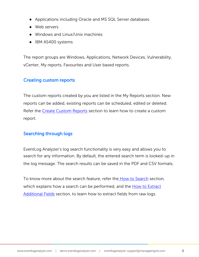- <span id="page-7-0"></span>● Applications including Oracle and MS SQL Server databases
- Web servers
- Windows and Linux/Unix machines
- IBM AS400 systems

The report groups are Windows, Applications, Network Devices, Vulnerability, vCenter, My reports, Favourites and User based reports.

#### Creating custom reports

The custom reports created by you are listed in the My Reports section. New reports can be added, existing reports can be scheduled, edited or deleted. Refer the Create [Custom Reports](http://help.eventloganalyzer.com/create-custom-reports) section to learn how to create a custom report.

#### Searching through logs

EventLog Analyzer's log search functionality is very easy and allows you to search for any information. By default, the entered search term is looked-up in the log message. The search results can be saved in the PDF and CSV formats.

To know more about the search feature, refer the [How to Search](http://help.eventloganalyzer.com/how-to-search) section, which explains how a search can be performed, and the [How to Extract](http://help.eventloganalyzer.com/extract-new-fields)  [Additional Fields](http://help.eventloganalyzer.com/extract-new-fields) section, to learn how to extract fields from raw logs.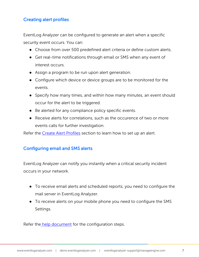#### <span id="page-8-0"></span>Creating alert profiles

EventLog Analyzer can be configured to generate an alert when a specific security event occurs. You can:

- Choose from over 500 predefined alert criteria or define custom alerts.
- Get real-time notifications through email or SMS when any event of interest occurs.
- Assign a program to be run upon alert generation.
- Configure which device or device groups are to be monitored for the events.
- Specify how many times, and within how many minutes, an event should occur for the alert to be triggered.
- Be alerted for any compliance policy specific events.
- Receive alerts for correlations, such as the occurence of two or more events calls for further investigation.

Refer th[e Create Alert Profiles](http://help.eventloganalyzer.com/create-alert-profile) section to learn how to set up an alert.

#### Configuring email and SMS alerts

EventLog Analyzer can notify you instantly when a critical security incident occurs in your network.

- To receive email alerts and scheduled reports, you need to configure the mail server in EventLog Analyzer.
- To receive alerts on your mobile phone you need to configure the SMS Settings.

Refer the [help document](http://help.eventloganalyzer.com/configure-email-sms) for the configuration steps.